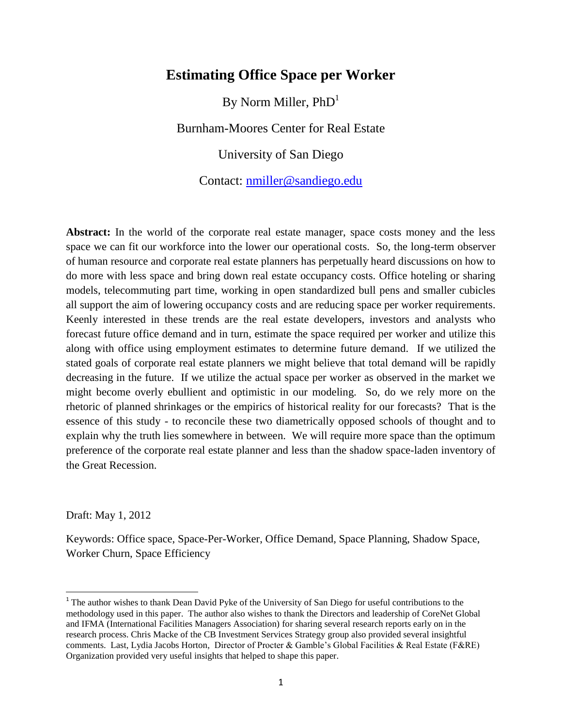# **Estimating Office Space per Worker**

By Norm Miller,  $PhD<sup>1</sup>$ 

Burnham-Moores Center for Real Estate

University of San Diego

Contact: [nmiller@sandiego.edu](mailto:nmiller@sandiego.edu)

Abstract: In the world of the corporate real estate manager, space costs money and the less space we can fit our workforce into the lower our operational costs. So, the long-term observer of human resource and corporate real estate planners has perpetually heard discussions on how to do more with less space and bring down real estate occupancy costs. Office hoteling or sharing models, telecommuting part time, working in open standardized bull pens and smaller cubicles all support the aim of lowering occupancy costs and are reducing space per worker requirements. Keenly interested in these trends are the real estate developers, investors and analysts who forecast future office demand and in turn, estimate the space required per worker and utilize this along with office using employment estimates to determine future demand. If we utilized the stated goals of corporate real estate planners we might believe that total demand will be rapidly decreasing in the future. If we utilize the actual space per worker as observed in the market we might become overly ebullient and optimistic in our modeling. So, do we rely more on the rhetoric of planned shrinkages or the empirics of historical reality for our forecasts? That is the essence of this study - to reconcile these two diametrically opposed schools of thought and to explain why the truth lies somewhere in between. We will require more space than the optimum preference of the corporate real estate planner and less than the shadow space-laden inventory of the Great Recession.

Draft: May 1, 2012

l

Keywords: Office space, Space-Per-Worker, Office Demand, Space Planning, Shadow Space, Worker Churn, Space Efficiency

<sup>&</sup>lt;sup>1</sup> The author wishes to thank Dean David Pyke of the University of San Diego for useful contributions to the methodology used in this paper. The author also wishes to thank the Directors and leadership of CoreNet Global and IFMA (International Facilities Managers Association) for sharing several research reports early on in the research process. Chris Macke of the CB Investment Services Strategy group also provided several insightful comments. Last, Lydia Jacobs Horton, Director of Procter & Gamble's Global Facilities & Real Estate (F&RE) Organization provided very useful insights that helped to shape this paper.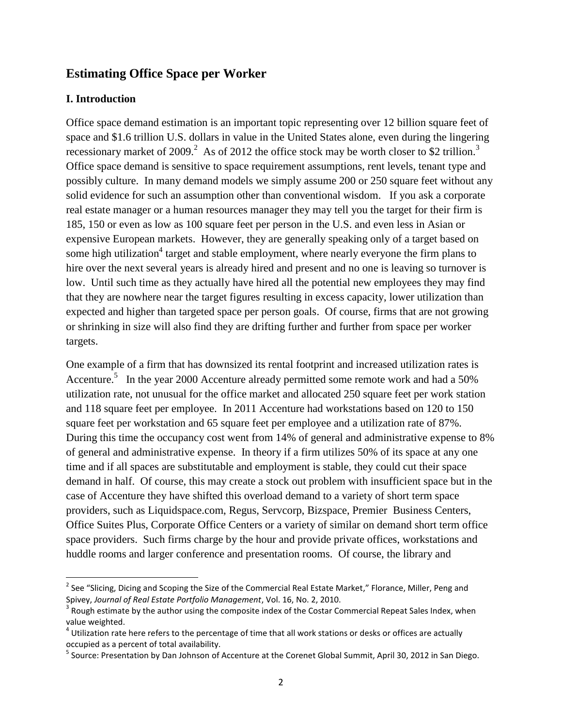# **Estimating Office Space per Worker**

### **I. Introduction**

 $\overline{\phantom{a}}$ 

Office space demand estimation is an important topic representing over 12 billion square feet of space and \$1.6 trillion U.S. dollars in value in the United States alone, even during the lingering recessionary market of 2009.<sup>2</sup> As of 2012 the office stock may be worth closer to \$2 trillion.<sup>3</sup> Office space demand is sensitive to space requirement assumptions, rent levels, tenant type and possibly culture. In many demand models we simply assume 200 or 250 square feet without any solid evidence for such an assumption other than conventional wisdom. If you ask a corporate real estate manager or a human resources manager they may tell you the target for their firm is 185, 150 or even as low as 100 square feet per person in the U.S. and even less in Asian or expensive European markets. However, they are generally speaking only of a target based on some high utilization<sup>4</sup> target and stable employment, where nearly everyone the firm plans to hire over the next several years is already hired and present and no one is leaving so turnover is low. Until such time as they actually have hired all the potential new employees they may find that they are nowhere near the target figures resulting in excess capacity, lower utilization than expected and higher than targeted space per person goals. Of course, firms that are not growing or shrinking in size will also find they are drifting further and further from space per worker targets.

One example of a firm that has downsized its rental footprint and increased utilization rates is Accenture.<sup>5</sup> In the year 2000 Accenture already permitted some remote work and had a 50% utilization rate, not unusual for the office market and allocated 250 square feet per work station and 118 square feet per employee. In 2011 Accenture had workstations based on 120 to 150 square feet per workstation and 65 square feet per employee and a utilization rate of 87%. During this time the occupancy cost went from 14% of general and administrative expense to 8% of general and administrative expense. In theory if a firm utilizes 50% of its space at any one time and if all spaces are substitutable and employment is stable, they could cut their space demand in half. Of course, this may create a stock out problem with insufficient space but in the case of Accenture they have shifted this overload demand to a variety of short term space providers, such as Liquidspace.com, Regus, Servcorp, Bizspace, Premier Business Centers, Office Suites Plus, Corporate Office Centers or a variety of similar on demand short term office space providers. Such firms charge by the hour and provide private offices, workstations and huddle rooms and larger conference and presentation rooms. Of course, the library and

 $^{2}$  See "Slicing, Dicing and Scoping the Size of the Commercial Real Estate Market," Florance, Miller, Peng and Spivey, *Journal of Real Estate Portfolio Management*, Vol. 16, No. 2, 2010.

 $3$  Rough estimate by the author using the composite index of the Costar Commercial Repeat Sales Index, when value weighted.

 $^4$  Utilization rate here refers to the percentage of time that all work stations or desks or offices are actually occupied as a percent of total availability.

<sup>&</sup>lt;sup>5</sup> Source: Presentation by Dan Johnson of Accenture at the Corenet Global Summit, April 30, 2012 in San Diego.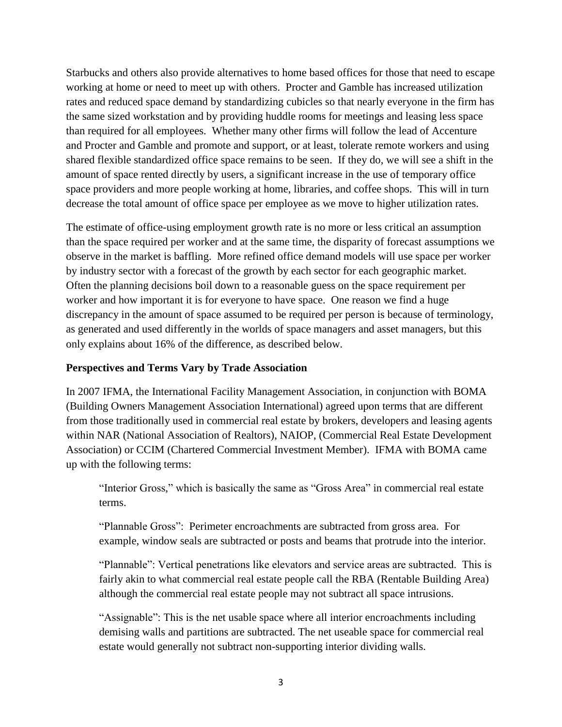Starbucks and others also provide alternatives to home based offices for those that need to escape working at home or need to meet up with others. Procter and Gamble has increased utilization rates and reduced space demand by standardizing cubicles so that nearly everyone in the firm has the same sized workstation and by providing huddle rooms for meetings and leasing less space than required for all employees. Whether many other firms will follow the lead of Accenture and Procter and Gamble and promote and support, or at least, tolerate remote workers and using shared flexible standardized office space remains to be seen. If they do, we will see a shift in the amount of space rented directly by users, a significant increase in the use of temporary office space providers and more people working at home, libraries, and coffee shops. This will in turn decrease the total amount of office space per employee as we move to higher utilization rates.

The estimate of office-using employment growth rate is no more or less critical an assumption than the space required per worker and at the same time, the disparity of forecast assumptions we observe in the market is baffling. More refined office demand models will use space per worker by industry sector with a forecast of the growth by each sector for each geographic market. Often the planning decisions boil down to a reasonable guess on the space requirement per worker and how important it is for everyone to have space. One reason we find a huge discrepancy in the amount of space assumed to be required per person is because of terminology, as generated and used differently in the worlds of space managers and asset managers, but this only explains about 16% of the difference, as described below.

# **Perspectives and Terms Vary by Trade Association**

In 2007 IFMA, the International Facility Management Association, in conjunction with BOMA (Building Owners Management Association International) agreed upon terms that are different from those traditionally used in commercial real estate by brokers, developers and leasing agents within NAR (National Association of Realtors), NAIOP, (Commercial Real Estate Development Association) or CCIM (Chartered Commercial Investment Member). IFMA with BOMA came up with the following terms:

"Interior Gross," which is basically the same as "Gross Area" in commercial real estate terms.

"Plannable Gross": Perimeter encroachments are subtracted from gross area. For example, window seals are subtracted or posts and beams that protrude into the interior.

"Plannable": Vertical penetrations like elevators and service areas are subtracted. This is fairly akin to what commercial real estate people call the RBA (Rentable Building Area) although the commercial real estate people may not subtract all space intrusions.

"Assignable": This is the net usable space where all interior encroachments including demising walls and partitions are subtracted. The net useable space for commercial real estate would generally not subtract non-supporting interior dividing walls.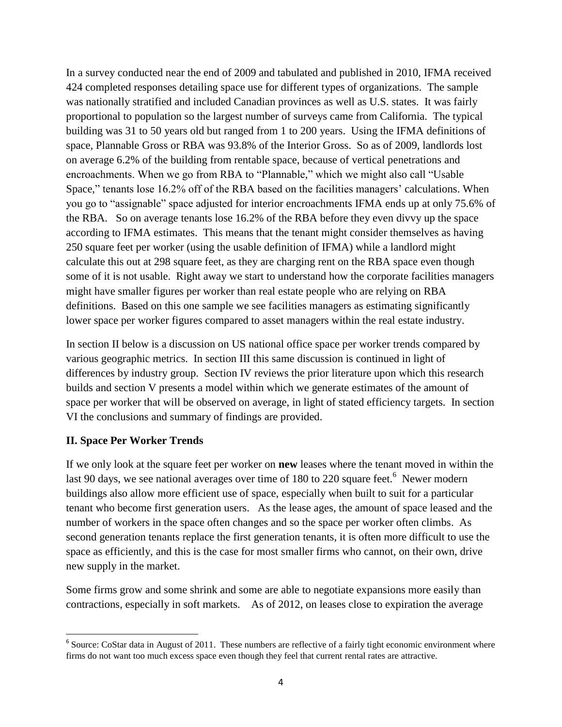In a survey conducted near the end of 2009 and tabulated and published in 2010, IFMA received 424 completed responses detailing space use for different types of organizations. The sample was nationally stratified and included Canadian provinces as well as U.S. states. It was fairly proportional to population so the largest number of surveys came from California. The typical building was 31 to 50 years old but ranged from 1 to 200 years. Using the IFMA definitions of space, Plannable Gross or RBA was 93.8% of the Interior Gross. So as of 2009, landlords lost on average 6.2% of the building from rentable space, because of vertical penetrations and encroachments. When we go from RBA to "Plannable," which we might also call "Usable Space," tenants lose 16.2% off of the RBA based on the facilities managers' calculations. When you go to "assignable" space adjusted for interior encroachments IFMA ends up at only 75.6% of the RBA. So on average tenants lose 16.2% of the RBA before they even divvy up the space according to IFMA estimates. This means that the tenant might consider themselves as having 250 square feet per worker (using the usable definition of IFMA) while a landlord might calculate this out at 298 square feet, as they are charging rent on the RBA space even though some of it is not usable. Right away we start to understand how the corporate facilities managers might have smaller figures per worker than real estate people who are relying on RBA definitions. Based on this one sample we see facilities managers as estimating significantly lower space per worker figures compared to asset managers within the real estate industry.

In section II below is a discussion on US national office space per worker trends compared by various geographic metrics. In section III this same discussion is continued in light of differences by industry group. Section IV reviews the prior literature upon which this research builds and section V presents a model within which we generate estimates of the amount of space per worker that will be observed on average, in light of stated efficiency targets. In section VI the conclusions and summary of findings are provided.

# **II. Space Per Worker Trends**

If we only look at the square feet per worker on **new** leases where the tenant moved in within the last 90 days, we see national averages over time of 180 to 220 square feet.<sup>6</sup> Newer modern buildings also allow more efficient use of space, especially when built to suit for a particular tenant who become first generation users. As the lease ages, the amount of space leased and the number of workers in the space often changes and so the space per worker often climbs. As second generation tenants replace the first generation tenants, it is often more difficult to use the space as efficiently, and this is the case for most smaller firms who cannot, on their own, drive new supply in the market.

Some firms grow and some shrink and some are able to negotiate expansions more easily than contractions, especially in soft markets. As of 2012, on leases close to expiration the average

<sup>&</sup>lt;sup>6</sup> Source: CoStar data in August of 2011. These numbers are reflective of a fairly tight economic environment where firms do not want too much excess space even though they feel that current rental rates are attractive.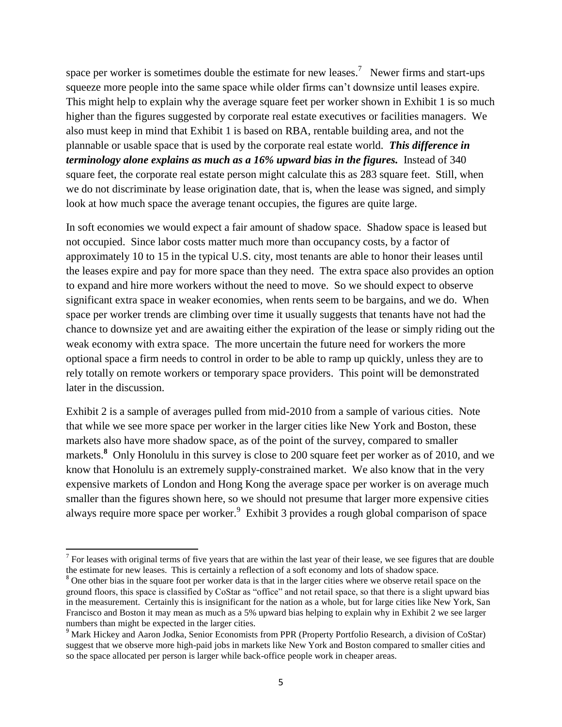space per worker is sometimes double the estimate for new leases.<sup>7</sup> Newer firms and start-ups squeeze more people into the same space while older firms can't downsize until leases expire. This might help to explain why the average square feet per worker shown in Exhibit 1 is so much higher than the figures suggested by corporate real estate executives or facilities managers. We also must keep in mind that Exhibit 1 is based on RBA, rentable building area, and not the plannable or usable space that is used by the corporate real estate world. *This difference in terminology alone explains as much as a 16% upward bias in the figures.* Instead of 340 square feet, the corporate real estate person might calculate this as 283 square feet. Still, when we do not discriminate by lease origination date, that is, when the lease was signed, and simply look at how much space the average tenant occupies, the figures are quite large.

In soft economies we would expect a fair amount of shadow space. Shadow space is leased but not occupied. Since labor costs matter much more than occupancy costs, by a factor of approximately 10 to 15 in the typical U.S. city, most tenants are able to honor their leases until the leases expire and pay for more space than they need. The extra space also provides an option to expand and hire more workers without the need to move. So we should expect to observe significant extra space in weaker economies, when rents seem to be bargains, and we do. When space per worker trends are climbing over time it usually suggests that tenants have not had the chance to downsize yet and are awaiting either the expiration of the lease or simply riding out the weak economy with extra space. The more uncertain the future need for workers the more optional space a firm needs to control in order to be able to ramp up quickly, unless they are to rely totally on remote workers or temporary space providers. This point will be demonstrated later in the discussion.

Exhibit 2 is a sample of averages pulled from mid-2010 from a sample of various cities. Note that while we see more space per worker in the larger cities like New York and Boston, these markets also have more shadow space, as of the point of the survey, compared to smaller markets.<sup>8</sup> Only Honolulu in this survey is close to 200 square feet per worker as of 2010, and we know that Honolulu is an extremely supply-constrained market. We also know that in the very expensive markets of London and Hong Kong the average space per worker is on average much smaller than the figures shown here, so we should not presume that larger more expensive cities always require more space per worker. $9$  Exhibit 3 provides a rough global comparison of space

 $\overline{\phantom{a}}$ 

 $7$  For leases with original terms of five years that are within the last year of their lease, we see figures that are double the estimate for new leases. This is certainly a reflection of a soft economy and lots of shadow space.

<sup>&</sup>lt;sup>8</sup> One other bias in the square foot per worker data is that in the larger cities where we observe retail space on the ground floors, this space is classified by CoStar as "office" and not retail space, so that there is a slight upward bias in the measurement. Certainly this is insignificant for the nation as a whole, but for large cities like New York, San Francisco and Boston it may mean as much as a 5% upward bias helping to explain why in Exhibit 2 we see larger numbers than might be expected in the larger cities.

<sup>&</sup>lt;sup>9</sup> Mark Hickey and Aaron Jodka, Senior Economists from PPR (Property Portfolio Research, a division of CoStar) suggest that we observe more high-paid jobs in markets like New York and Boston compared to smaller cities and so the space allocated per person is larger while back-office people work in cheaper areas.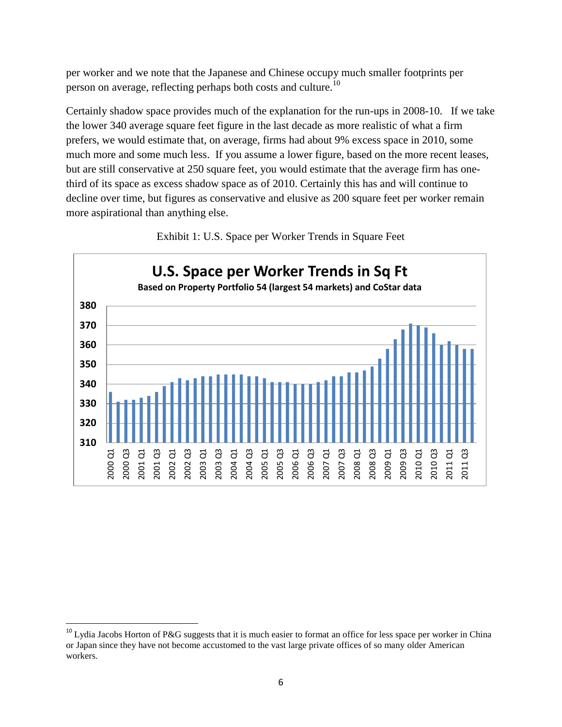per worker and we note that the Japanese and Chinese occupy much smaller footprints per person on average, reflecting perhaps both costs and culture.<sup>10</sup>

Certainly shadow space provides much of the explanation for the run-ups in 2008-10. If we take the lower 340 average square feet figure in the last decade as more realistic of what a firm prefers, we would estimate that, on average, firms had about 9% excess space in 2010, some much more and some much less. If you assume a lower figure, based on the more recent leases, but are still conservative at 250 square feet, you would estimate that the average firm has onethird of its space as excess shadow space as of 2010. Certainly this has and will continue to decline over time, but figures as conservative and elusive as 200 square feet per worker remain more aspirational than anything else.



Exhibit 1: U.S. Space per Worker Trends in Square Feet

 $\overline{\phantom{a}}$ 

<sup>&</sup>lt;sup>10</sup> Lydia Jacobs Horton of P&G suggests that it is much easier to format an office for less space per worker in China or Japan since they have not become accustomed to the vast large private offices of so many older American workers.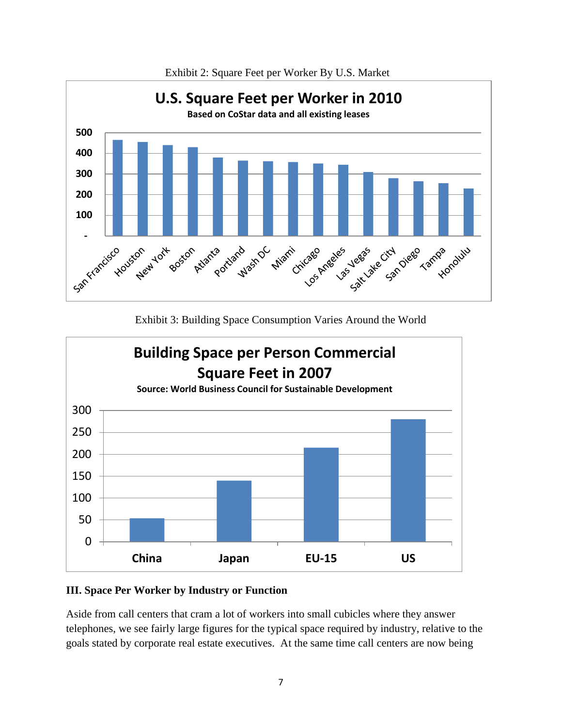

Exhibit 2: Square Feet per Worker By U.S. Market

Exhibit 3: Building Space Consumption Varies Around the World



# **III. Space Per Worker by Industry or Function**

Aside from call centers that cram a lot of workers into small cubicles where they answer telephones, we see fairly large figures for the typical space required by industry, relative to the goals stated by corporate real estate executives. At the same time call centers are now being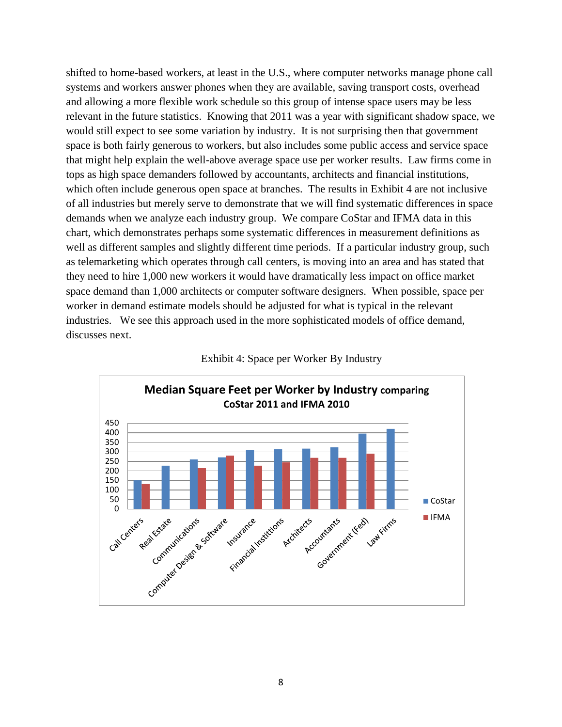shifted to home-based workers, at least in the U.S., where computer networks manage phone call systems and workers answer phones when they are available, saving transport costs, overhead and allowing a more flexible work schedule so this group of intense space users may be less relevant in the future statistics. Knowing that 2011 was a year with significant shadow space, we would still expect to see some variation by industry. It is not surprising then that government space is both fairly generous to workers, but also includes some public access and service space that might help explain the well-above average space use per worker results. Law firms come in tops as high space demanders followed by accountants, architects and financial institutions, which often include generous open space at branches. The results in Exhibit 4 are not inclusive of all industries but merely serve to demonstrate that we will find systematic differences in space demands when we analyze each industry group. We compare CoStar and IFMA data in this chart, which demonstrates perhaps some systematic differences in measurement definitions as well as different samples and slightly different time periods. If a particular industry group, such as telemarketing which operates through call centers, is moving into an area and has stated that they need to hire 1,000 new workers it would have dramatically less impact on office market space demand than 1,000 architects or computer software designers. When possible, space per worker in demand estimate models should be adjusted for what is typical in the relevant industries. We see this approach used in the more sophisticated models of office demand, discusses next.



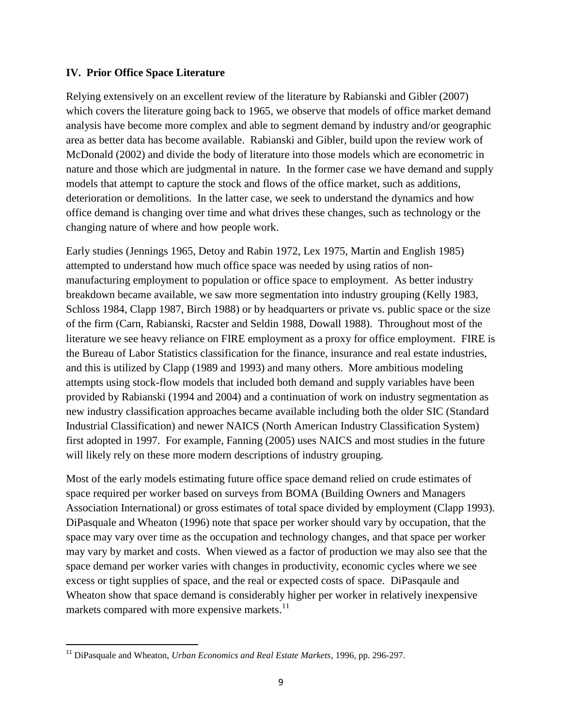### **IV. Prior Office Space Literature**

Relying extensively on an excellent review of the literature by Rabianski and Gibler (2007) which covers the literature going back to 1965, we observe that models of office market demand analysis have become more complex and able to segment demand by industry and/or geographic area as better data has become available. Rabianski and Gibler, build upon the review work of McDonald (2002) and divide the body of literature into those models which are econometric in nature and those which are judgmental in nature. In the former case we have demand and supply models that attempt to capture the stock and flows of the office market, such as additions, deterioration or demolitions. In the latter case, we seek to understand the dynamics and how office demand is changing over time and what drives these changes, such as technology or the changing nature of where and how people work.

Early studies (Jennings 1965, Detoy and Rabin 1972, Lex 1975, Martin and English 1985) attempted to understand how much office space was needed by using ratios of nonmanufacturing employment to population or office space to employment. As better industry breakdown became available, we saw more segmentation into industry grouping (Kelly 1983, Schloss 1984, Clapp 1987, Birch 1988) or by headquarters or private vs. public space or the size of the firm (Carn, Rabianski, Racster and Seldin 1988, Dowall 1988). Throughout most of the literature we see heavy reliance on FIRE employment as a proxy for office employment. FIRE is the Bureau of Labor Statistics classification for the finance, insurance and real estate industries, and this is utilized by Clapp (1989 and 1993) and many others. More ambitious modeling attempts using stock-flow models that included both demand and supply variables have been provided by Rabianski (1994 and 2004) and a continuation of work on industry segmentation as new industry classification approaches became available including both the older SIC (Standard Industrial Classification) and newer NAICS (North American Industry Classification System) first adopted in 1997. For example, Fanning (2005) uses NAICS and most studies in the future will likely rely on these more modern descriptions of industry grouping.

Most of the early models estimating future office space demand relied on crude estimates of space required per worker based on surveys from BOMA (Building Owners and Managers Association International) or gross estimates of total space divided by employment (Clapp 1993). DiPasquale and Wheaton (1996) note that space per worker should vary by occupation, that the space may vary over time as the occupation and technology changes, and that space per worker may vary by market and costs. When viewed as a factor of production we may also see that the space demand per worker varies with changes in productivity, economic cycles where we see excess or tight supplies of space, and the real or expected costs of space. DiPasqaule and Wheaton show that space demand is considerably higher per worker in relatively inexpensive markets compared with more expensive markets.<sup>11</sup>

 $\overline{\phantom{a}}$ 

<sup>11</sup> DiPasquale and Wheaton, *Urban Economics and Real Estate Markets*, 1996, pp. 296-297.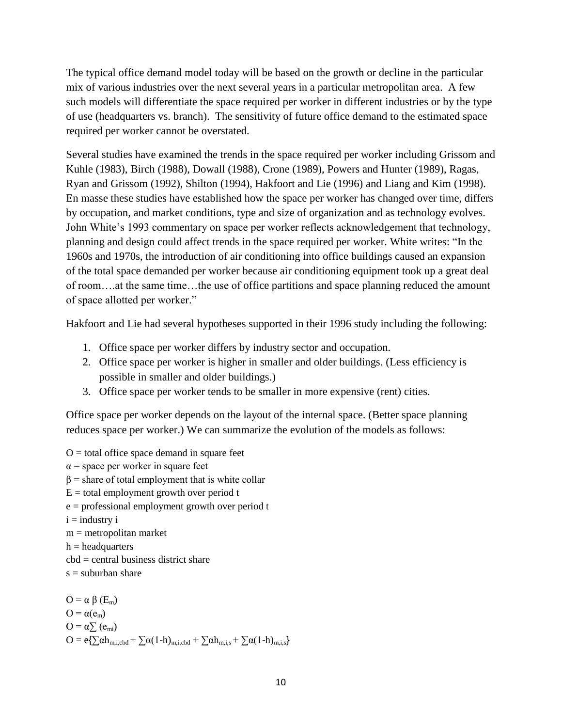The typical office demand model today will be based on the growth or decline in the particular mix of various industries over the next several years in a particular metropolitan area. A few such models will differentiate the space required per worker in different industries or by the type of use (headquarters vs. branch). The sensitivity of future office demand to the estimated space required per worker cannot be overstated.

Several studies have examined the trends in the space required per worker including Grissom and Kuhle (1983), Birch (1988), Dowall (1988), Crone (1989), Powers and Hunter (1989), Ragas, Ryan and Grissom (1992), Shilton (1994), Hakfoort and Lie (1996) and Liang and Kim (1998). En masse these studies have established how the space per worker has changed over time, differs by occupation, and market conditions, type and size of organization and as technology evolves. John White's 1993 commentary on space per worker reflects acknowledgement that technology, planning and design could affect trends in the space required per worker. White writes: "In the 1960s and 1970s, the introduction of air conditioning into office buildings caused an expansion of the total space demanded per worker because air conditioning equipment took up a great deal of room….at the same time…the use of office partitions and space planning reduced the amount of space allotted per worker."

Hakfoort and Lie had several hypotheses supported in their 1996 study including the following:

- 1. Office space per worker differs by industry sector and occupation.
- 2. Office space per worker is higher in smaller and older buildings. (Less efficiency is possible in smaller and older buildings.)
- 3. Office space per worker tends to be smaller in more expensive (rent) cities.

Office space per worker depends on the layout of the internal space. (Better space planning reduces space per worker.) We can summarize the evolution of the models as follows:

 $O =$  total office space demand in square feet  $\alpha$  = space per worker in square feet  $β = share of total employment that is white collagen$  $E =$  total employment growth over period t  $e =$  professional employment growth over period t  $i =$  industry  $i$ 

- m = metropolitan market
- $h =$  headquarters
- $\text{cbd}$  = central business district share
- $s =$ suburban share

 $O = \alpha \beta(E_m)$  $O = \alpha(e_m)$  $O = \alpha \sum_{m} (e_{mi})$  $O = e\left\{\sum \alpha h_{m,i,cbd} + \sum \alpha (1-h)_{m,i,cbd} + \sum \alpha h_{m,i,s} + \sum \alpha (1-h)_{m,i,s}\right\}$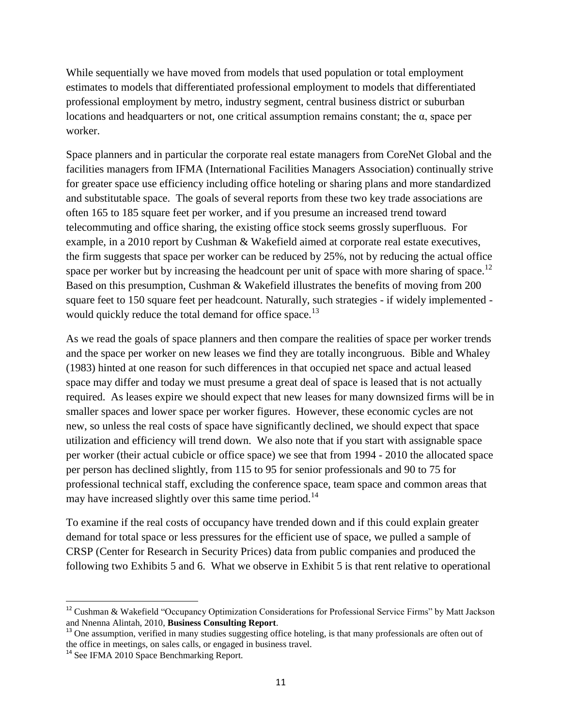While sequentially we have moved from models that used population or total employment estimates to models that differentiated professional employment to models that differentiated professional employment by metro, industry segment, central business district or suburban locations and headquarters or not, one critical assumption remains constant; the α, space per worker.

Space planners and in particular the corporate real estate managers from CoreNet Global and the facilities managers from IFMA (International Facilities Managers Association) continually strive for greater space use efficiency including office hoteling or sharing plans and more standardized and substitutable space. The goals of several reports from these two key trade associations are often 165 to 185 square feet per worker, and if you presume an increased trend toward telecommuting and office sharing, the existing office stock seems grossly superfluous. For example, in a 2010 report by Cushman & Wakefield aimed at corporate real estate executives, the firm suggests that space per worker can be reduced by 25%, not by reducing the actual office space per worker but by increasing the headcount per unit of space with more sharing of space.<sup>12</sup> Based on this presumption, Cushman & Wakefield illustrates the benefits of moving from 200 square feet to 150 square feet per headcount. Naturally, such strategies - if widely implemented would quickly reduce the total demand for office space.<sup>13</sup>

As we read the goals of space planners and then compare the realities of space per worker trends and the space per worker on new leases we find they are totally incongruous. Bible and Whaley (1983) hinted at one reason for such differences in that occupied net space and actual leased space may differ and today we must presume a great deal of space is leased that is not actually required. As leases expire we should expect that new leases for many downsized firms will be in smaller spaces and lower space per worker figures. However, these economic cycles are not new, so unless the real costs of space have significantly declined, we should expect that space utilization and efficiency will trend down. We also note that if you start with assignable space per worker (their actual cubicle or office space) we see that from 1994 - 2010 the allocated space per person has declined slightly, from 115 to 95 for senior professionals and 90 to 75 for professional technical staff, excluding the conference space, team space and common areas that may have increased slightly over this same time period.<sup>14</sup>

To examine if the real costs of occupancy have trended down and if this could explain greater demand for total space or less pressures for the efficient use of space, we pulled a sample of CRSP (Center for Research in Security Prices) data from public companies and produced the following two Exhibits 5 and 6. What we observe in Exhibit 5 is that rent relative to operational

l

<sup>12</sup> Cushman & Wakefield "Occupancy Optimization Considerations for Professional Service Firms" by Matt Jackson and Nnenna Alintah, 2010, **Business Consulting Report**.

<sup>&</sup>lt;sup>13</sup> One assumption, verified in many studies suggesting office hoteling, is that many professionals are often out of the office in meetings, on sales calls, or engaged in business travel.

<sup>&</sup>lt;sup>14</sup> See IFMA 2010 Space Benchmarking Report.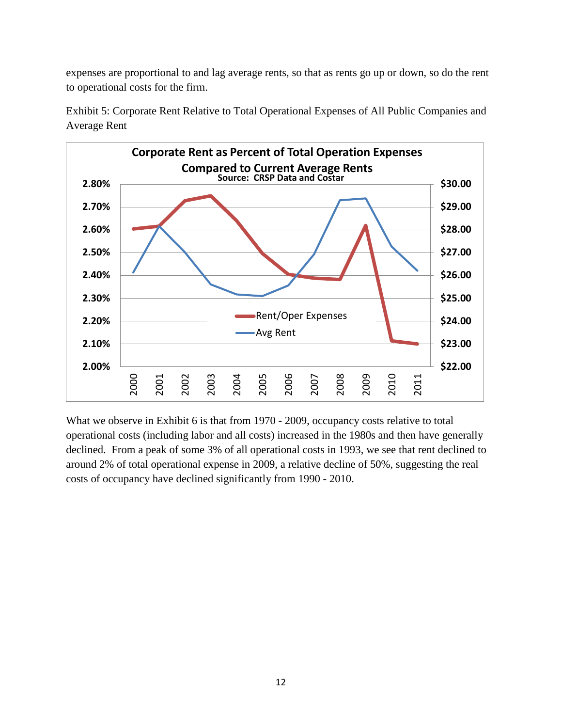expenses are proportional to and lag average rents, so that as rents go up or down, so do the rent to operational costs for the firm.



Exhibit 5: Corporate Rent Relative to Total Operational Expenses of All Public Companies and Average Rent

What we observe in Exhibit 6 is that from 1970 - 2009, occupancy costs relative to total operational costs (including labor and all costs) increased in the 1980s and then have generally declined. From a peak of some 3% of all operational costs in 1993, we see that rent declined to around 2% of total operational expense in 2009, a relative decline of 50%, suggesting the real costs of occupancy have declined significantly from 1990 - 2010.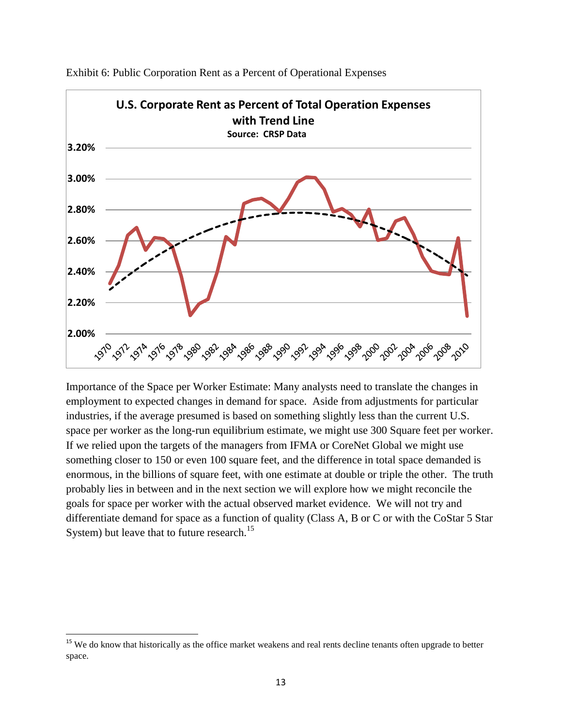

Exhibit 6: Public Corporation Rent as a Percent of Operational Expenses

Importance of the Space per Worker Estimate: Many analysts need to translate the changes in employment to expected changes in demand for space. Aside from adjustments for particular industries, if the average presumed is based on something slightly less than the current U.S. space per worker as the long-run equilibrium estimate, we might use 300 Square feet per worker. If we relied upon the targets of the managers from IFMA or CoreNet Global we might use something closer to 150 or even 100 square feet, and the difference in total space demanded is enormous, in the billions of square feet, with one estimate at double or triple the other. The truth probably lies in between and in the next section we will explore how we might reconcile the goals for space per worker with the actual observed market evidence. We will not try and differentiate demand for space as a function of quality (Class A, B or C or with the CoStar 5 Star System) but leave that to future research.<sup>15</sup>

l

<sup>&</sup>lt;sup>15</sup> We do know that historically as the office market weakens and real rents decline tenants often upgrade to better space.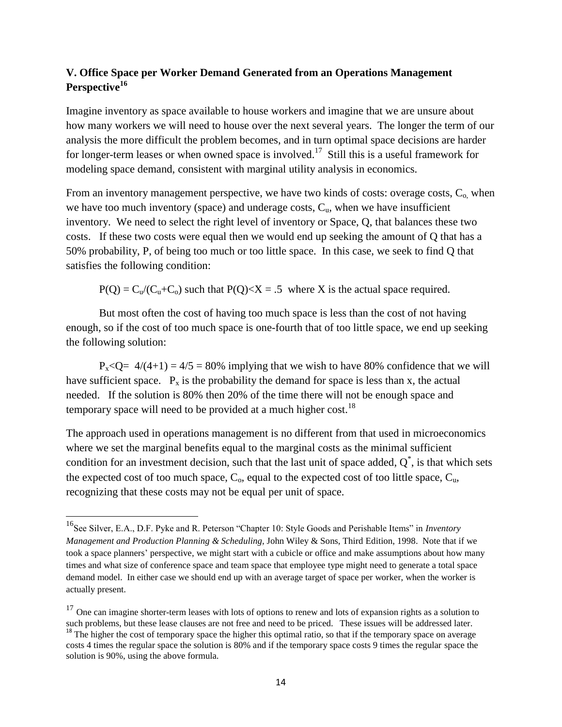# **V. Office Space per Worker Demand Generated from an Operations Management Perspective<sup>16</sup>**

Imagine inventory as space available to house workers and imagine that we are unsure about how many workers we will need to house over the next several years. The longer the term of our analysis the more difficult the problem becomes, and in turn optimal space decisions are harder for longer-term leases or when owned space is involved.<sup>17</sup> Still this is a useful framework for modeling space demand, consistent with marginal utility analysis in economics.

From an inventory management perspective, we have two kinds of costs: overage costs,  $C_0$  when we have too much inventory (space) and underage costs,  $C<sub>u</sub>$ , when we have insufficient inventory. We need to select the right level of inventory or Space, Q, that balances these two costs. If these two costs were equal then we would end up seeking the amount of Q that has a 50% probability, P, of being too much or too little space. In this case, we seek to find Q that satisfies the following condition:

 $P(Q) = C_u/(C_u + C_o)$  such that  $P(Q) \le X = .5$  where X is the actual space required.

But most often the cost of having too much space is less than the cost of not having enough, so if the cost of too much space is one-fourth that of too little space, we end up seeking the following solution:

 $P_{x}$ <Q= 4/(4+1) = 4/5 = 80% implying that we wish to have 80% confidence that we will have sufficient space.  $P_x$  is the probability the demand for space is less than x, the actual needed. If the solution is 80% then 20% of the time there will not be enough space and temporary space will need to be provided at a much higher cost.<sup>18</sup>

The approach used in operations management is no different from that used in microeconomics where we set the marginal benefits equal to the marginal costs as the minimal sufficient condition for an investment decision, such that the last unit of space added,  $Q^*$ , is that which sets the expected cost of too much space,  $C_0$ , equal to the expected cost of too little space,  $C_u$ , recognizing that these costs may not be equal per unit of space.

 $\overline{\phantom{a}}$ 

<sup>16</sup>See Silver, E.A., D.F. Pyke and R. Peterson "Chapter 10: Style Goods and Perishable Items" in *Inventory Management and Production Planning & Scheduling*, John Wiley & Sons, Third Edition, 1998. Note that if we took a space planners' perspective, we might start with a cubicle or office and make assumptions about how many times and what size of conference space and team space that employee type might need to generate a total space demand model. In either case we should end up with an average target of space per worker, when the worker is actually present.

 $17$  One can imagine shorter-term leases with lots of options to renew and lots of expansion rights as a solution to such problems, but these lease clauses are not free and need to be priced. These issues will be addressed later.  $18$  The higher the cost of temporary space the higher this optimal ratio, so that if the temporary space on average costs 4 times the regular space the solution is 80% and if the temporary space costs 9 times the regular space the solution is 90%, using the above formula.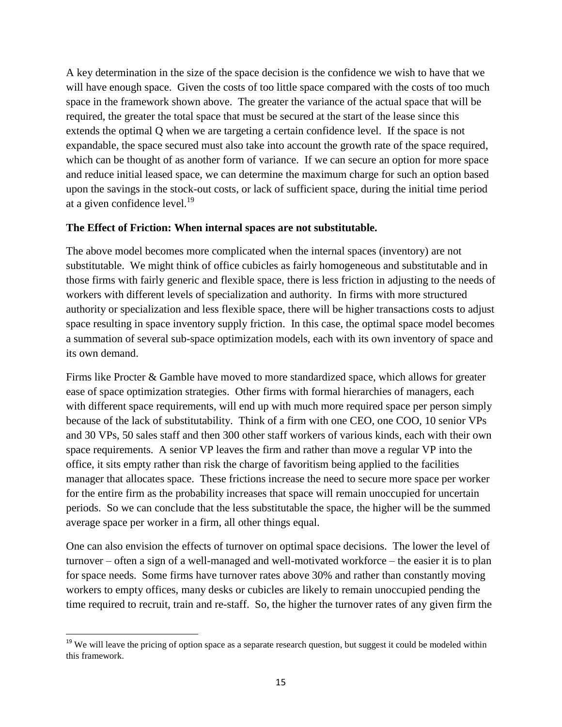A key determination in the size of the space decision is the confidence we wish to have that we will have enough space. Given the costs of too little space compared with the costs of too much space in the framework shown above. The greater the variance of the actual space that will be required, the greater the total space that must be secured at the start of the lease since this extends the optimal Q when we are targeting a certain confidence level. If the space is not expandable, the space secured must also take into account the growth rate of the space required, which can be thought of as another form of variance. If we can secure an option for more space and reduce initial leased space, we can determine the maximum charge for such an option based upon the savings in the stock-out costs, or lack of sufficient space, during the initial time period at a given confidence level.<sup>19</sup>

### **The Effect of Friction: When internal spaces are not substitutable.**

The above model becomes more complicated when the internal spaces (inventory) are not substitutable. We might think of office cubicles as fairly homogeneous and substitutable and in those firms with fairly generic and flexible space, there is less friction in adjusting to the needs of workers with different levels of specialization and authority. In firms with more structured authority or specialization and less flexible space, there will be higher transactions costs to adjust space resulting in space inventory supply friction. In this case, the optimal space model becomes a summation of several sub-space optimization models, each with its own inventory of space and its own demand.

Firms like Procter & Gamble have moved to more standardized space, which allows for greater ease of space optimization strategies. Other firms with formal hierarchies of managers, each with different space requirements, will end up with much more required space per person simply because of the lack of substitutability. Think of a firm with one CEO, one COO, 10 senior VPs and 30 VPs, 50 sales staff and then 300 other staff workers of various kinds, each with their own space requirements. A senior VP leaves the firm and rather than move a regular VP into the office, it sits empty rather than risk the charge of favoritism being applied to the facilities manager that allocates space. These frictions increase the need to secure more space per worker for the entire firm as the probability increases that space will remain unoccupied for uncertain periods. So we can conclude that the less substitutable the space, the higher will be the summed average space per worker in a firm, all other things equal.

One can also envision the effects of turnover on optimal space decisions. The lower the level of turnover – often a sign of a well-managed and well-motivated workforce – the easier it is to plan for space needs. Some firms have turnover rates above 30% and rather than constantly moving workers to empty offices, many desks or cubicles are likely to remain unoccupied pending the time required to recruit, train and re-staff. So, the higher the turnover rates of any given firm the

l <sup>19</sup> We will leave the pricing of option space as a separate research question, but suggest it could be modeled within this framework.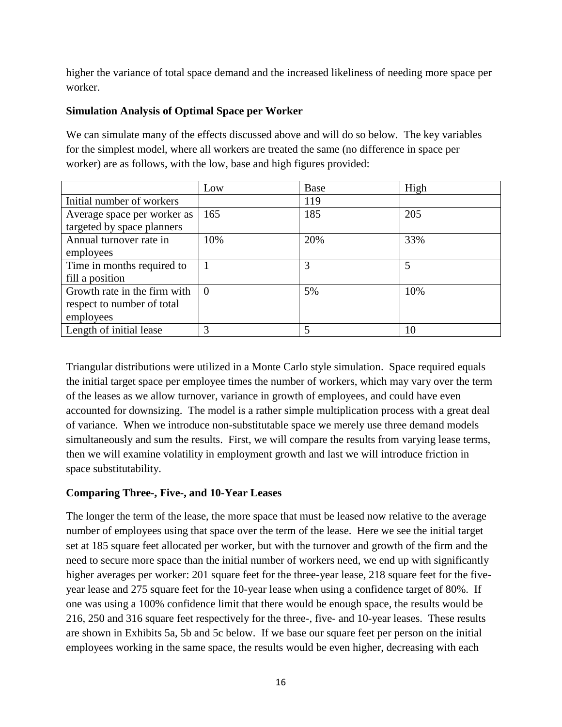higher the variance of total space demand and the increased likeliness of needing more space per worker.

# **Simulation Analysis of Optimal Space per Worker**

We can simulate many of the effects discussed above and will do so below. The key variables for the simplest model, where all workers are treated the same (no difference in space per worker) are as follows, with the low, base and high figures provided:

|                              | Low      | Base | High |
|------------------------------|----------|------|------|
| Initial number of workers    |          | 119  |      |
| Average space per worker as  | 165      | 185  | 205  |
| targeted by space planners   |          |      |      |
| Annual turnover rate in      | 10%      | 20%  | 33%  |
| employees                    |          |      |      |
| Time in months required to   |          | 3    | 5    |
| fill a position              |          |      |      |
| Growth rate in the firm with | $\Omega$ | 5%   | 10%  |
| respect to number of total   |          |      |      |
| employees                    |          |      |      |
| Length of initial lease      | 3        | 5    | 10   |

Triangular distributions were utilized in a Monte Carlo style simulation. Space required equals the initial target space per employee times the number of workers, which may vary over the term of the leases as we allow turnover, variance in growth of employees, and could have even accounted for downsizing. The model is a rather simple multiplication process with a great deal of variance. When we introduce non-substitutable space we merely use three demand models simultaneously and sum the results. First, we will compare the results from varying lease terms, then we will examine volatility in employment growth and last we will introduce friction in space substitutability.

# **Comparing Three-, Five-, and 10-Year Leases**

The longer the term of the lease, the more space that must be leased now relative to the average number of employees using that space over the term of the lease. Here we see the initial target set at 185 square feet allocated per worker, but with the turnover and growth of the firm and the need to secure more space than the initial number of workers need, we end up with significantly higher averages per worker: 201 square feet for the three-year lease, 218 square feet for the fiveyear lease and 275 square feet for the 10-year lease when using a confidence target of 80%. If one was using a 100% confidence limit that there would be enough space, the results would be 216, 250 and 316 square feet respectively for the three-, five- and 10-year leases. These results are shown in Exhibits 5a, 5b and 5c below. If we base our square feet per person on the initial employees working in the same space, the results would be even higher, decreasing with each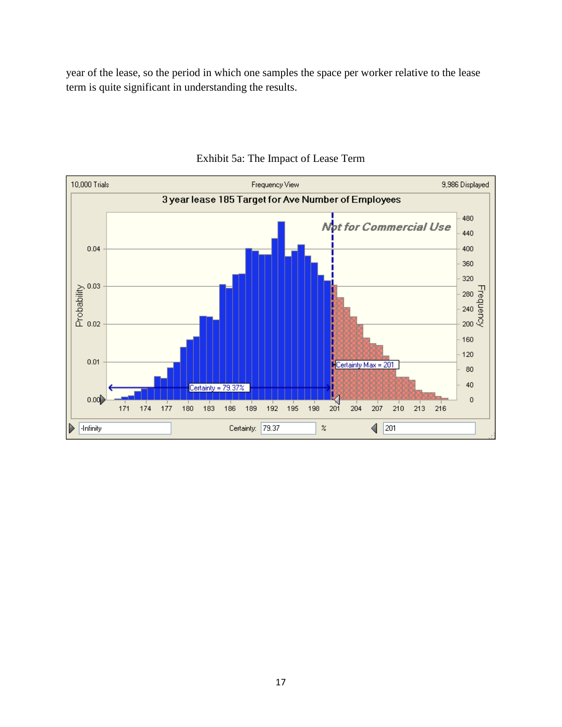year of the lease, so the period in which one samples the space per worker relative to the lease term is quite significant in understanding the results.



# Exhibit 5a: The Impact of Lease Term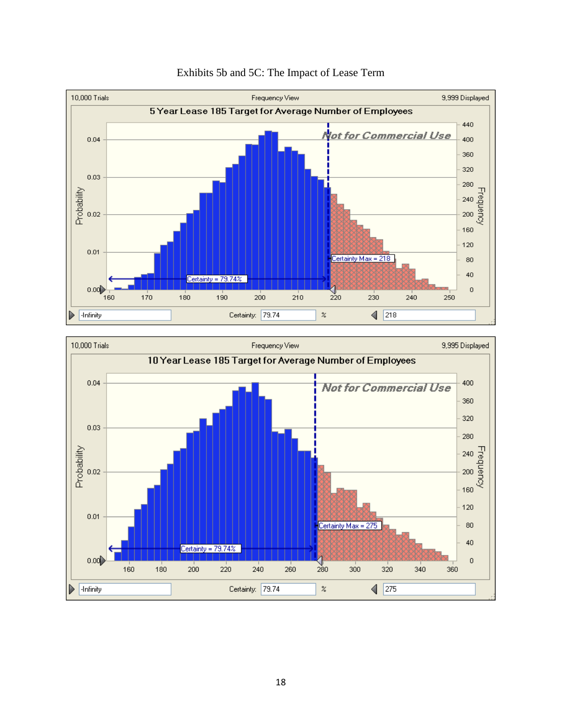



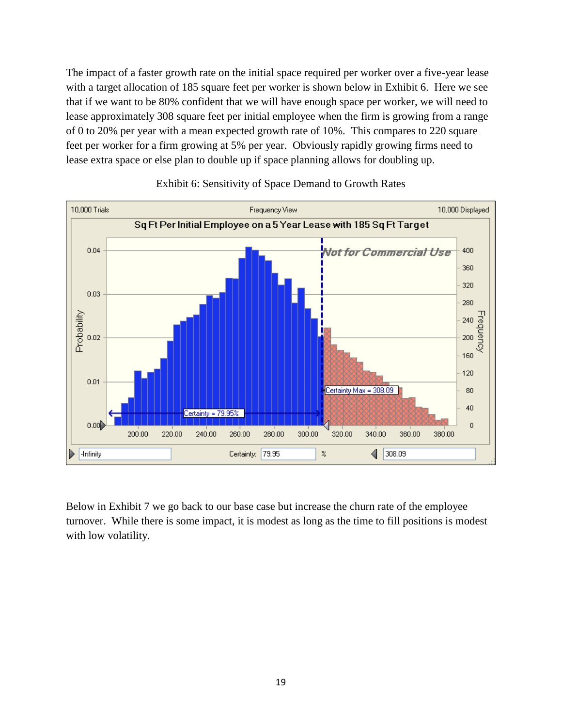The impact of a faster growth rate on the initial space required per worker over a five-year lease with a target allocation of 185 square feet per worker is shown below in Exhibit 6. Here we see that if we want to be 80% confident that we will have enough space per worker, we will need to lease approximately 308 square feet per initial employee when the firm is growing from a range of 0 to 20% per year with a mean expected growth rate of 10%. This compares to 220 square feet per worker for a firm growing at 5% per year. Obviously rapidly growing firms need to lease extra space or else plan to double up if space planning allows for doubling up.



### Exhibit 6: Sensitivity of Space Demand to Growth Rates

Below in Exhibit 7 we go back to our base case but increase the churn rate of the employee turnover. While there is some impact, it is modest as long as the time to fill positions is modest with low volatility.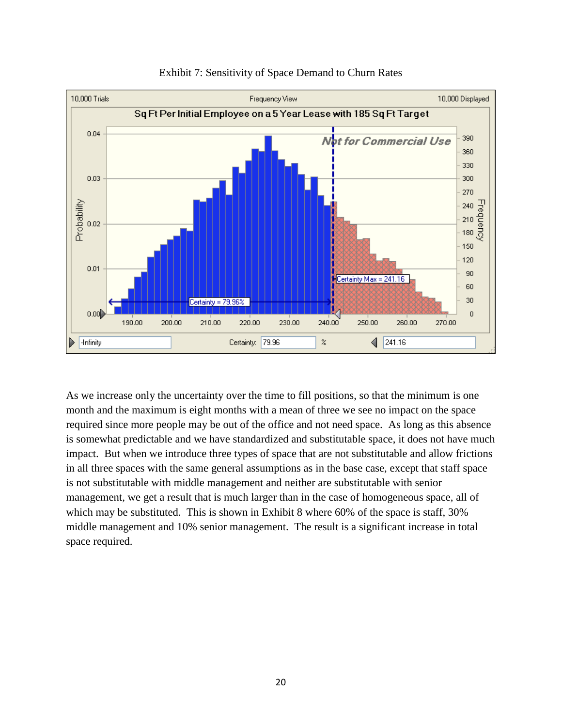

### Exhibit 7: Sensitivity of Space Demand to Churn Rates

As we increase only the uncertainty over the time to fill positions, so that the minimum is one month and the maximum is eight months with a mean of three we see no impact on the space required since more people may be out of the office and not need space. As long as this absence is somewhat predictable and we have standardized and substitutable space, it does not have much impact. But when we introduce three types of space that are not substitutable and allow frictions in all three spaces with the same general assumptions as in the base case, except that staff space is not substitutable with middle management and neither are substitutable with senior management, we get a result that is much larger than in the case of homogeneous space, all of which may be substituted. This is shown in Exhibit 8 where 60% of the space is staff, 30% middle management and 10% senior management. The result is a significant increase in total space required.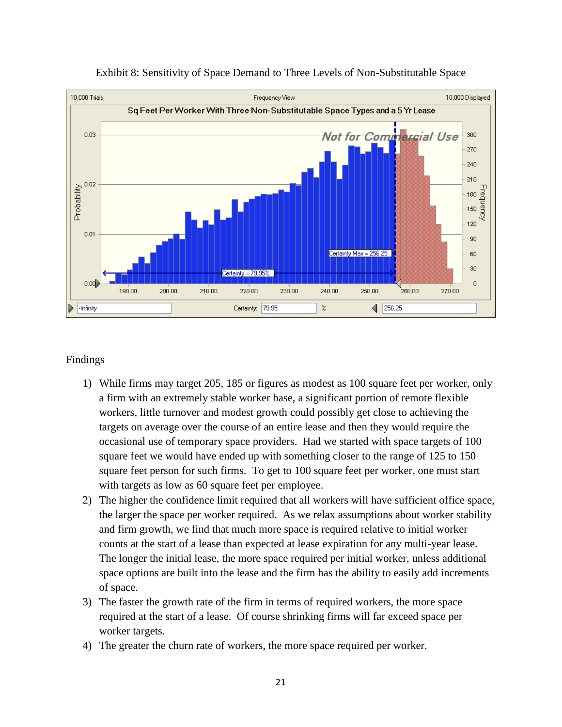

#### Exhibit 8: Sensitivity of Space Demand to Three Levels of Non-Substitutable Space

### Findings

- 1) While firms may target 205, 185 or figures as modest as 100 square feet per worker, only a firm with an extremely stable worker base, a significant portion of remote flexible workers, little turnover and modest growth could possibly get close to achieving the targets on average over the course of an entire lease and then they would require the occasional use of temporary space providers. Had we started with space targets of 100 square feet we would have ended up with something closer to the range of 125 to 150 square feet person for such firms. To get to 100 square feet per worker, one must start with targets as low as 60 square feet per employee.
- 2) The higher the confidence limit required that all workers will have sufficient office space, the larger the space per worker required. As we relax assumptions about worker stability and firm growth, we find that much more space is required relative to initial worker counts at the start of a lease than expected at lease expiration for any multi-year lease. The longer the initial lease, the more space required per initial worker, unless additional space options are built into the lease and the firm has the ability to easily add increments of space.
- 3) The faster the growth rate of the firm in terms of required workers, the more space required at the start of a lease. Of course shrinking firms will far exceed space per worker targets.
- 4) The greater the churn rate of workers, the more space required per worker.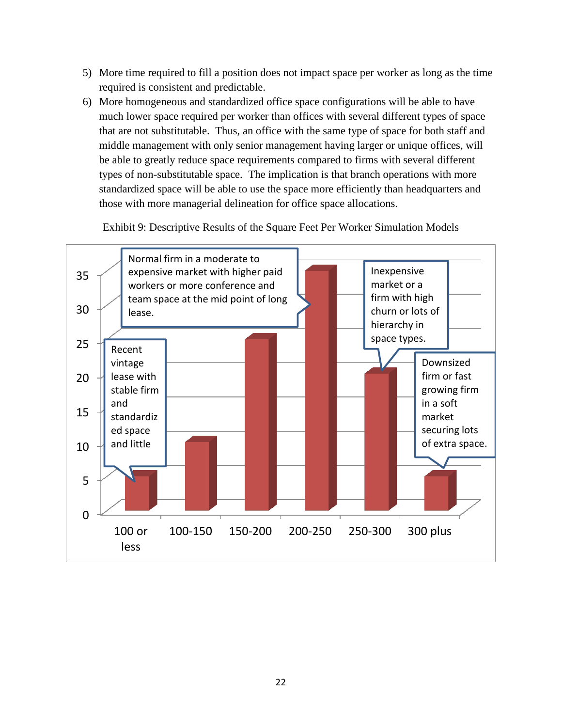- 5) More time required to fill a position does not impact space per worker as long as the time required is consistent and predictable.
- 6) More homogeneous and standardized office space configurations will be able to have much lower space required per worker than offices with several different types of space that are not substitutable. Thus, an office with the same type of space for both staff and middle management with only senior management having larger or unique offices, will be able to greatly reduce space requirements compared to firms with several different types of non-substitutable space. The implication is that branch operations with more standardized space will be able to use the space more efficiently than headquarters and those with more managerial delineation for office space allocations.

Exhibit 9: Descriptive Results of the Square Feet Per Worker Simulation Models

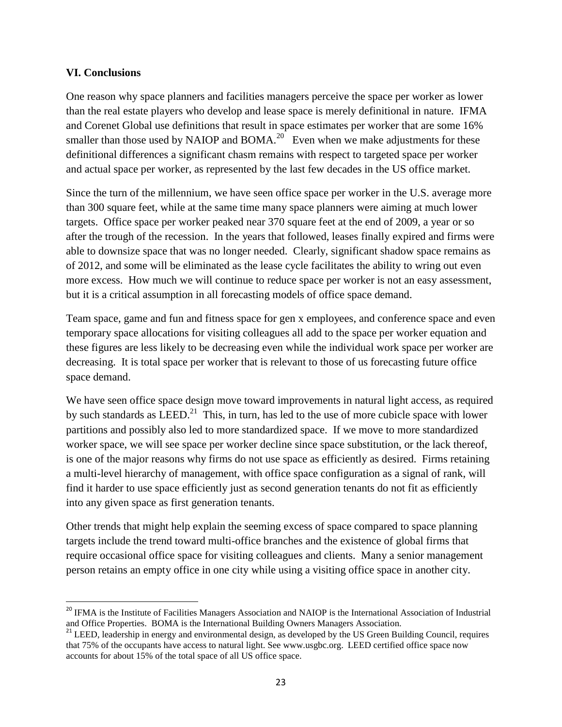### **VI. Conclusions**

 $\overline{a}$ 

One reason why space planners and facilities managers perceive the space per worker as lower than the real estate players who develop and lease space is merely definitional in nature. IFMA and Corenet Global use definitions that result in space estimates per worker that are some 16% smaller than those used by NAIOP and BOMA.<sup>20</sup> Even when we make adjustments for these definitional differences a significant chasm remains with respect to targeted space per worker and actual space per worker, as represented by the last few decades in the US office market.

Since the turn of the millennium, we have seen office space per worker in the U.S. average more than 300 square feet, while at the same time many space planners were aiming at much lower targets. Office space per worker peaked near 370 square feet at the end of 2009, a year or so after the trough of the recession. In the years that followed, leases finally expired and firms were able to downsize space that was no longer needed. Clearly, significant shadow space remains as of 2012, and some will be eliminated as the lease cycle facilitates the ability to wring out even more excess. How much we will continue to reduce space per worker is not an easy assessment, but it is a critical assumption in all forecasting models of office space demand.

Team space, game and fun and fitness space for gen x employees, and conference space and even temporary space allocations for visiting colleagues all add to the space per worker equation and these figures are less likely to be decreasing even while the individual work space per worker are decreasing. It is total space per worker that is relevant to those of us forecasting future office space demand.

We have seen office space design move toward improvements in natural light access, as required by such standards as  $LEED$ <sup>21</sup>. This, in turn, has led to the use of more cubicle space with lower partitions and possibly also led to more standardized space. If we move to more standardized worker space, we will see space per worker decline since space substitution, or the lack thereof, is one of the major reasons why firms do not use space as efficiently as desired. Firms retaining a multi-level hierarchy of management, with office space configuration as a signal of rank, will find it harder to use space efficiently just as second generation tenants do not fit as efficiently into any given space as first generation tenants.

Other trends that might help explain the seeming excess of space compared to space planning targets include the trend toward multi-office branches and the existence of global firms that require occasional office space for visiting colleagues and clients. Many a senior management person retains an empty office in one city while using a visiting office space in another city.

<sup>&</sup>lt;sup>20</sup> IFMA is the Institute of Facilities Managers Association and NAIOP is the International Association of Industrial and Office Properties. BOMA is the International Building Owners Managers Association.

<sup>&</sup>lt;sup>21</sup> LEED, leadership in energy and environmental design, as developed by the US Green Building Council, requires that 75% of the occupants have access to natural light. See www.usgbc.org. LEED certified office space now accounts for about 15% of the total space of all US office space.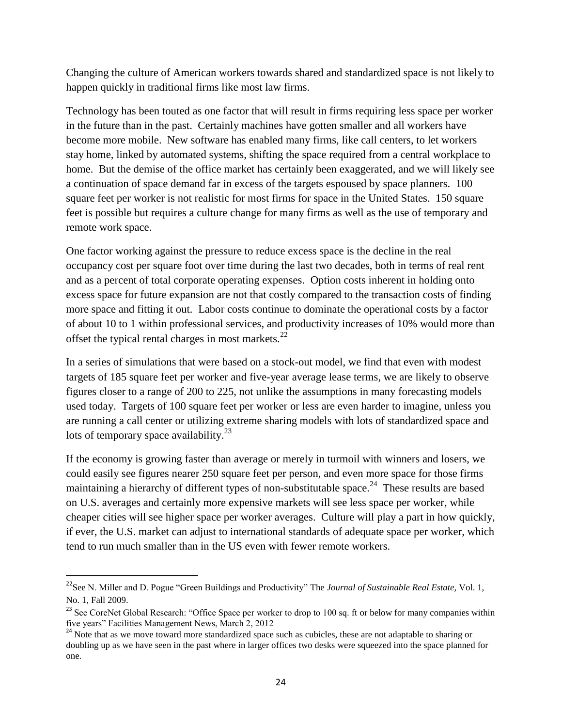Changing the culture of American workers towards shared and standardized space is not likely to happen quickly in traditional firms like most law firms.

Technology has been touted as one factor that will result in firms requiring less space per worker in the future than in the past. Certainly machines have gotten smaller and all workers have become more mobile. New software has enabled many firms, like call centers, to let workers stay home, linked by automated systems, shifting the space required from a central workplace to home. But the demise of the office market has certainly been exaggerated, and we will likely see a continuation of space demand far in excess of the targets espoused by space planners. 100 square feet per worker is not realistic for most firms for space in the United States. 150 square feet is possible but requires a culture change for many firms as well as the use of temporary and remote work space.

One factor working against the pressure to reduce excess space is the decline in the real occupancy cost per square foot over time during the last two decades, both in terms of real rent and as a percent of total corporate operating expenses. Option costs inherent in holding onto excess space for future expansion are not that costly compared to the transaction costs of finding more space and fitting it out. Labor costs continue to dominate the operational costs by a factor of about 10 to 1 within professional services, and productivity increases of 10% would more than offset the typical rental charges in most markets. $^{22}$ 

In a series of simulations that were based on a stock-out model, we find that even with modest targets of 185 square feet per worker and five-year average lease terms, we are likely to observe figures closer to a range of 200 to 225, not unlike the assumptions in many forecasting models used today. Targets of 100 square feet per worker or less are even harder to imagine, unless you are running a call center or utilizing extreme sharing models with lots of standardized space and lots of temporary space availability.<sup>23</sup>

If the economy is growing faster than average or merely in turmoil with winners and losers, we could easily see figures nearer 250 square feet per person, and even more space for those firms maintaining a hierarchy of different types of non-substitutable space.<sup>24</sup> These results are based on U.S. averages and certainly more expensive markets will see less space per worker, while cheaper cities will see higher space per worker averages. Culture will play a part in how quickly, if ever, the U.S. market can adjust to international standards of adequate space per worker, which tend to run much smaller than in the US even with fewer remote workers.

 $\overline{\phantom{a}}$ 

<sup>&</sup>lt;sup>22</sup>See N. Miller and D. Pogue "Green Buildings and Productivity" The *Journal of Sustainable Real Estate*, Vol. 1, No. 1, Fall 2009.

<sup>&</sup>lt;sup>23</sup> See CoreNet Global Research: "Office Space per worker to drop to 100 sq. ft or below for many companies within five years" Facilities Management News, March 2, 2012

<sup>&</sup>lt;sup>24</sup> Note that as we move toward more standardized space such as cubicles, these are not adaptable to sharing or doubling up as we have seen in the past where in larger offices two desks were squeezed into the space planned for one.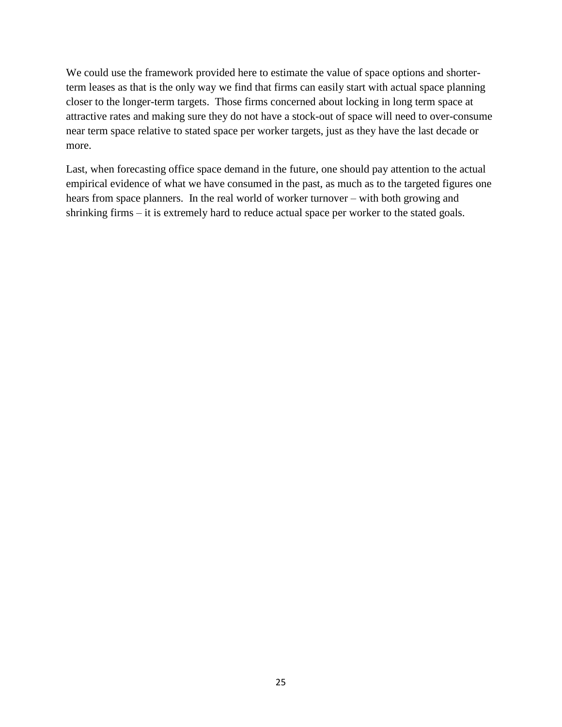We could use the framework provided here to estimate the value of space options and shorterterm leases as that is the only way we find that firms can easily start with actual space planning closer to the longer-term targets. Those firms concerned about locking in long term space at attractive rates and making sure they do not have a stock-out of space will need to over-consume near term space relative to stated space per worker targets, just as they have the last decade or more.

Last, when forecasting office space demand in the future, one should pay attention to the actual empirical evidence of what we have consumed in the past, as much as to the targeted figures one hears from space planners. In the real world of worker turnover – with both growing and shrinking firms – it is extremely hard to reduce actual space per worker to the stated goals.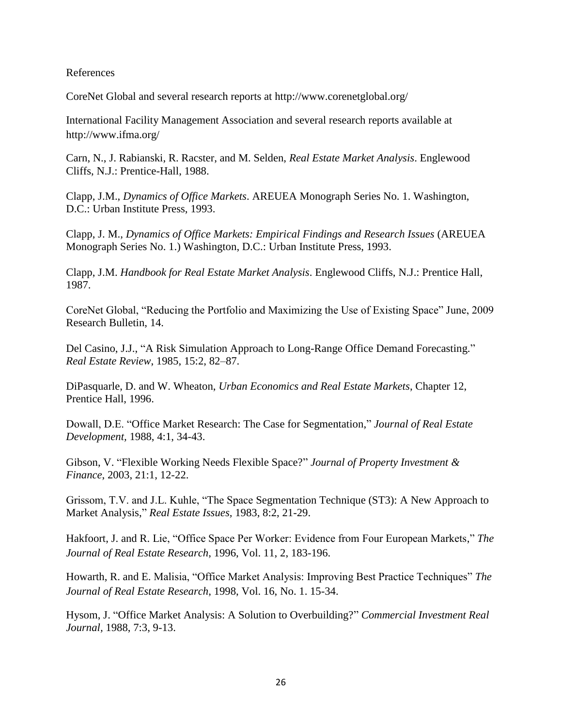References

CoreNet Global and several research reports at<http://www.corenetglobal.org/>

International Facility Management Association and several research reports available at <http://www.ifma.org/>

Carn, N., J. Rabianski, R. Racster, and M. Selden, *Real Estate Market Analysis*. Englewood Cliffs, N.J.: Prentice-Hall, 1988.

Clapp, J.M., *Dynamics of Office Markets*. AREUEA Monograph Series No. 1. Washington, D.C.: Urban Institute Press, 1993.

Clapp, J. M., *Dynamics of Office Markets: Empirical Findings and Research Issues* (AREUEA Monograph Series No. 1.) Washington, D.C.: Urban Institute Press, 1993.

Clapp, J.M. *Handbook for Real Estate Market Analysis*. Englewood Cliffs, N.J.: Prentice Hall, 1987.

CoreNet Global, "Reducing the Portfolio and Maximizing the Use of Existing Space" June, 2009 Research Bulletin, 14.

Del Casino, J.J., "A Risk Simulation Approach to Long-Range Office Demand Forecasting." *Real Estate Review*, 1985, 15:2, 82–87.

DiPasquarle, D. and W. Wheaton, *Urban Economics and Real Estate Markets*, Chapter 12, Prentice Hall, 1996.

Dowall, D.E. "Office Market Research: The Case for Segmentation," *Journal of Real Estate Development,* 1988, 4:1, 34-43.

Gibson, V. "Flexible Working Needs Flexible Space?" *Journal of Property Investment & Finance*, 2003, 21:1, 12-22.

Grissom, T.V. and J.L. Kuhle, "The Space Segmentation Technique (ST3): A New Approach to Market Analysis," *Real Estate Issues,* 1983, 8:2, 21-29.

Hakfoort, J. and R. Lie, "Office Space Per Worker: Evidence from Four European Markets," *The Journal of Real Estate Research*, 1996, Vol. 11, 2, 183-196.

Howarth, R. and E. Malisia, "Office Market Analysis: Improving Best Practice Techniques" *The Journal of Real Estate Research*, 1998, Vol. 16, No. 1. 15-34.

Hysom, J. "Office Market Analysis: A Solution to Overbuilding?" *Commercial Investment Real Journal,* 1988, 7:3, 9-13.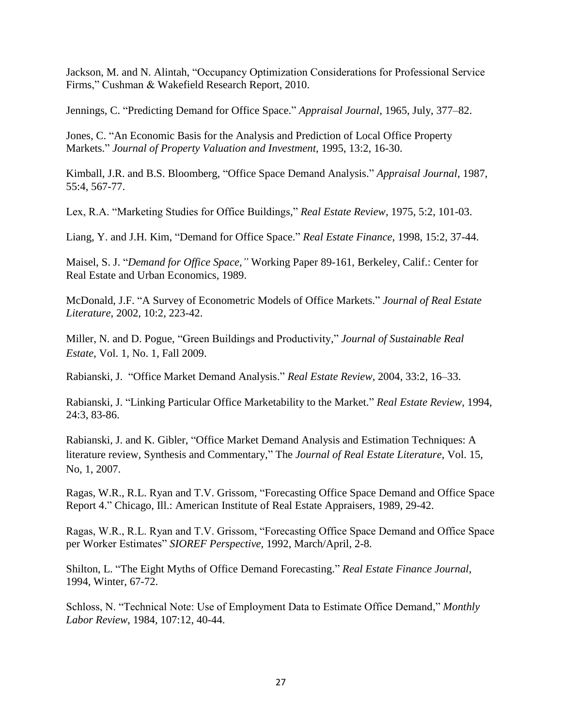Jackson, M. and N. Alintah, "Occupancy Optimization Considerations for Professional Service Firms," Cushman & Wakefield Research Report, 2010.

Jennings, C. "Predicting Demand for Office Space." *Appraisal Journal*, 1965, July, 377–82.

Jones, C. "An Economic Basis for the Analysis and Prediction of Local Office Property Markets." *Journal of Property Valuation and Investment*, 1995, 13:2, 16-30.

Kimball, J.R. and B.S. Bloomberg, "Office Space Demand Analysis." *Appraisal Journal*, 1987, 55:4, 567-77.

Lex, R.A. "Marketing Studies for Office Buildings," *Real Estate Review*, 1975, 5:2, 101-03.

Liang, Y. and J.H. Kim, "Demand for Office Space." *Real Estate Finance*, 1998, 15:2, 37-44.

Maisel, S. J. "*Demand for Office Space,"* Working Paper 89-161, Berkeley, Calif.: Center for Real Estate and Urban Economics, 1989.

McDonald, J.F. "A Survey of Econometric Models of Office Markets." *Journal of Real Estate Literature*, 2002, 10:2, 223-42.

Miller, N. and D. Pogue, "Green Buildings and Productivity," *Journal of Sustainable Real Estate,* Vol. 1, No. 1, Fall 2009.

Rabianski, J. "Office Market Demand Analysis." *Real Estate Review*, 2004, 33:2, 16–33.

Rabianski, J. "Linking Particular Office Marketability to the Market." *Real Estate Review*, 1994, 24:3, 83-86.

Rabianski, J. and K. Gibler, "Office Market Demand Analysis and Estimation Techniques: A literature review, Synthesis and Commentary," The *Journal of Real Estate Literature*, Vol. 15, No, 1, 2007.

Ragas, W.R., R.L. Ryan and T.V. Grissom, "Forecasting Office Space Demand and Office Space Report 4." Chicago, Ill.: American Institute of Real Estate Appraisers, 1989, 29-42.

Ragas, W.R., R.L. Ryan and T.V. Grissom, "Forecasting Office Space Demand and Office Space per Worker Estimates" *SIOREF Perspective*, 1992, March/April, 2-8.

Shilton, L. "The Eight Myths of Office Demand Forecasting." *Real Estate Finance Journal*, 1994, Winter, 67-72.

Schloss, N. "Technical Note: Use of Employment Data to Estimate Office Demand," *Monthly Labor Review*, 1984, 107:12, 40-44.